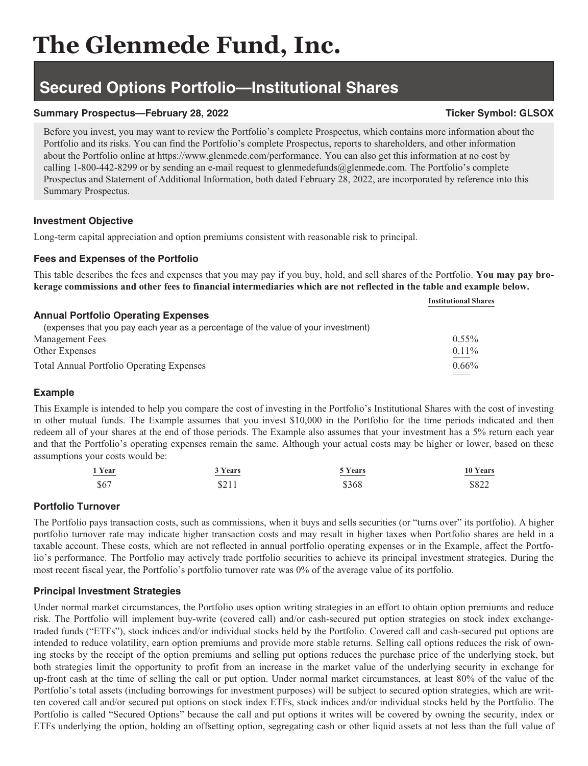# **The Glenmede Fund, Inc.**

### **Secured Options Portfolio—Institutional Shares**

### **Summary Prospectus—February 28, 2022** Ticker Symbol: GLSOX

Before you invest, you may want to review the Portfolio's complete Prospectus, which contains more information about the Portfolio and its risks. You can find the Portfolio's complete Prospectus, reports to shareholders, and other information about the Portfolio online at https://www.glenmede.com/performance. You can also get this information at no cost by calling 1-800-442-8299 or by sending an e-mail request to glenmedefunds@glenmede.com. The Portfolio's complete Prospectus and Statement of Additional Information, both dated February 28, 2022, are incorporated by reference into this Summary Prospectus.

### **Investment Objective**

Long-term capital appreciation and option premiums consistent with reasonable risk to principal.

### **Fees and Expenses of the Portfolio**

This table describes the fees and expenses that you may pay if you buy, hold, and sell shares of the Portfolio. **You may pay brokerage commissions and other fees to financial intermediaries which are not reflected in the table and example below.**

|                                                                                   | <b>Institutional Shares</b> |
|-----------------------------------------------------------------------------------|-----------------------------|
| <b>Annual Portfolio Operating Expenses</b>                                        |                             |
| (expenses that you pay each year as a percentage of the value of your investment) |                             |
| <b>Management Fees</b>                                                            | $0.55\%$                    |
| Other Expenses                                                                    | $0.11\%$                    |
| <b>Total Annual Portfolio Operating Expenses</b>                                  | $0.66\%$                    |

### **Example**

This Example is intended to help you compare the cost of investing in the Portfolio's Institutional Shares with the cost of investing in other mutual funds. The Example assumes that you invest \$10,000 in the Portfolio for the time periods indicated and then redeem all of your shares at the end of those periods. The Example also assumes that your investment has a 5% return each year and that the Portfolio's operating expenses remain the same. Although your actual costs may be higher or lower, based on these assumptions your costs would be:

| 1 Year                                                                                                                                                                                                                                                                                                                                                                                                                                                                                 | 3 Years | 5 Years | 10 Years |
|----------------------------------------------------------------------------------------------------------------------------------------------------------------------------------------------------------------------------------------------------------------------------------------------------------------------------------------------------------------------------------------------------------------------------------------------------------------------------------------|---------|---------|----------|
| $\begin{array}{cccccccccc} \multicolumn{3}{c}{} & \multicolumn{3}{c}{} & \multicolumn{3}{c}{} & \multicolumn{3}{c}{} & \multicolumn{3}{c}{} & \multicolumn{3}{c}{} & \multicolumn{3}{c}{} & \multicolumn{3}{c}{} & \multicolumn{3}{c}{} & \multicolumn{3}{c}{} & \multicolumn{3}{c}{} & \multicolumn{3}{c}{} & \multicolumn{3}{c}{} & \multicolumn{3}{c}{} & \multicolumn{3}{c}{} & \multicolumn{3}{c}{} & \multicolumn{3}{c}{} & \multicolumn{3}{c}{} & \multicolumn{3}{c}{} & \mult$ | $ -$    |         |          |
| \$67                                                                                                                                                                                                                                                                                                                                                                                                                                                                                   | \$211   | \$368   | \$822    |

### **Portfolio Turnover**

The Portfolio pays transaction costs, such as commissions, when it buys and sells securities (or "turns over" its portfolio). A higher portfolio turnover rate may indicate higher transaction costs and may result in higher taxes when Portfolio shares are held in a taxable account. These costs, which are not reflected in annual portfolio operating expenses or in the Example, affect the Portfolio's performance. The Portfolio may actively trade portfolio securities to achieve its principal investment strategies. During the most recent fiscal year, the Portfolio's portfolio turnover rate was 0% of the average value of its portfolio.

### **Principal Investment Strategies**

Under normal market circumstances, the Portfolio uses option writing strategies in an effort to obtain option premiums and reduce risk. The Portfolio will implement buy-write (covered call) and/or cash-secured put option strategies on stock index exchangetraded funds ("ETFs"), stock indices and/or individual stocks held by the Portfolio. Covered call and cash-secured put options are intended to reduce volatility, earn option premiums and provide more stable returns. Selling call options reduces the risk of owning stocks by the receipt of the option premiums and selling put options reduces the purchase price of the underlying stock, but both strategies limit the opportunity to profit from an increase in the market value of the underlying security in exchange for up-front cash at the time of selling the call or put option. Under normal market circumstances, at least 80% of the value of the Portfolio's total assets (including borrowings for investment purposes) will be subject to secured option strategies, which are written covered call and/or secured put options on stock index ETFs, stock indices and/or individual stocks held by the Portfolio. The Portfolio is called "Secured Options" because the call and put options it writes will be covered by owning the security, index or ETFs underlying the option, holding an offsetting option, segregating cash or other liquid assets at not less than the full value of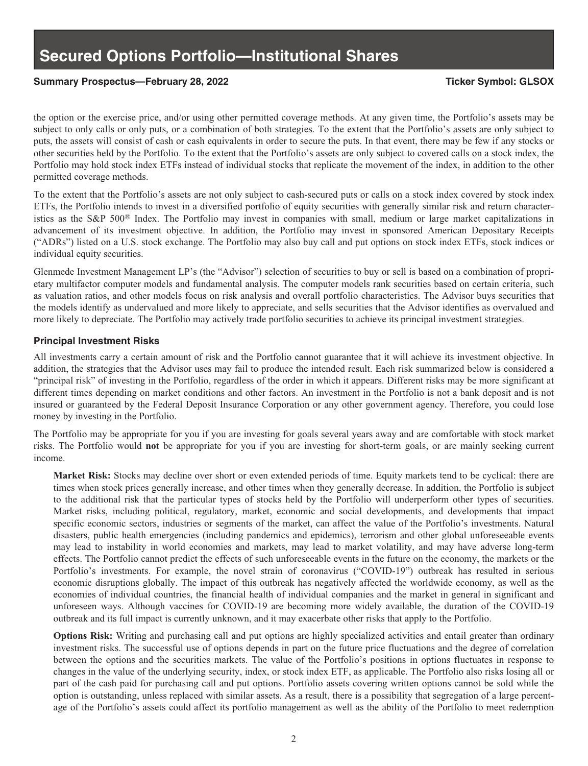### **Secured Options Portfolio—Institutional Shares**

### **Summary Prospectus—February 28, 2022 Ticker Symbol: GLSOX**

the option or the exercise price, and/or using other permitted coverage methods. At any given time, the Portfolio's assets may be subject to only calls or only puts, or a combination of both strategies. To the extent that the Portfolio's assets are only subject to puts, the assets will consist of cash or cash equivalents in order to secure the puts. In that event, there may be few if any stocks or other securities held by the Portfolio. To the extent that the Portfolio's assets are only subject to covered calls on a stock index, the Portfolio may hold stock index ETFs instead of individual stocks that replicate the movement of the index, in addition to the other permitted coverage methods.

To the extent that the Portfolio's assets are not only subject to cash-secured puts or calls on a stock index covered by stock index ETFs, the Portfolio intends to invest in a diversified portfolio of equity securities with generally similar risk and return characteristics as the S&P 500® Index. The Portfolio may invest in companies with small, medium or large market capitalizations in advancement of its investment objective. In addition, the Portfolio may invest in sponsored American Depositary Receipts ("ADRs") listed on a U.S. stock exchange. The Portfolio may also buy call and put options on stock index ETFs, stock indices or individual equity securities.

Glenmede Investment Management LP's (the "Advisor") selection of securities to buy or sell is based on a combination of proprietary multifactor computer models and fundamental analysis. The computer models rank securities based on certain criteria, such as valuation ratios, and other models focus on risk analysis and overall portfolio characteristics. The Advisor buys securities that the models identify as undervalued and more likely to appreciate, and sells securities that the Advisor identifies as overvalued and more likely to depreciate. The Portfolio may actively trade portfolio securities to achieve its principal investment strategies.

### **Principal Investment Risks**

All investments carry a certain amount of risk and the Portfolio cannot guarantee that it will achieve its investment objective. In addition, the strategies that the Advisor uses may fail to produce the intended result. Each risk summarized below is considered a "principal risk" of investing in the Portfolio, regardless of the order in which it appears. Different risks may be more significant at different times depending on market conditions and other factors. An investment in the Portfolio is not a bank deposit and is not insured or guaranteed by the Federal Deposit Insurance Corporation or any other government agency. Therefore, you could lose money by investing in the Portfolio.

The Portfolio may be appropriate for you if you are investing for goals several years away and are comfortable with stock market risks. The Portfolio would **not** be appropriate for you if you are investing for short-term goals, or are mainly seeking current income.

**Market Risk:** Stocks may decline over short or even extended periods of time. Equity markets tend to be cyclical: there are times when stock prices generally increase, and other times when they generally decrease. In addition, the Portfolio is subject to the additional risk that the particular types of stocks held by the Portfolio will underperform other types of securities. Market risks, including political, regulatory, market, economic and social developments, and developments that impact specific economic sectors, industries or segments of the market, can affect the value of the Portfolio's investments. Natural disasters, public health emergencies (including pandemics and epidemics), terrorism and other global unforeseeable events may lead to instability in world economies and markets, may lead to market volatility, and may have adverse long-term effects. The Portfolio cannot predict the effects of such unforeseeable events in the future on the economy, the markets or the Portfolio's investments. For example, the novel strain of coronavirus ("COVID-19") outbreak has resulted in serious economic disruptions globally. The impact of this outbreak has negatively affected the worldwide economy, as well as the economies of individual countries, the financial health of individual companies and the market in general in significant and unforeseen ways. Although vaccines for COVID-19 are becoming more widely available, the duration of the COVID-19 outbreak and its full impact is currently unknown, and it may exacerbate other risks that apply to the Portfolio.

**Options Risk:** Writing and purchasing call and put options are highly specialized activities and entail greater than ordinary investment risks. The successful use of options depends in part on the future price fluctuations and the degree of correlation between the options and the securities markets. The value of the Portfolio's positions in options fluctuates in response to changes in the value of the underlying security, index, or stock index ETF, as applicable. The Portfolio also risks losing all or part of the cash paid for purchasing call and put options. Portfolio assets covering written options cannot be sold while the option is outstanding, unless replaced with similar assets. As a result, there is a possibility that segregation of a large percentage of the Portfolio's assets could affect its portfolio management as well as the ability of the Portfolio to meet redemption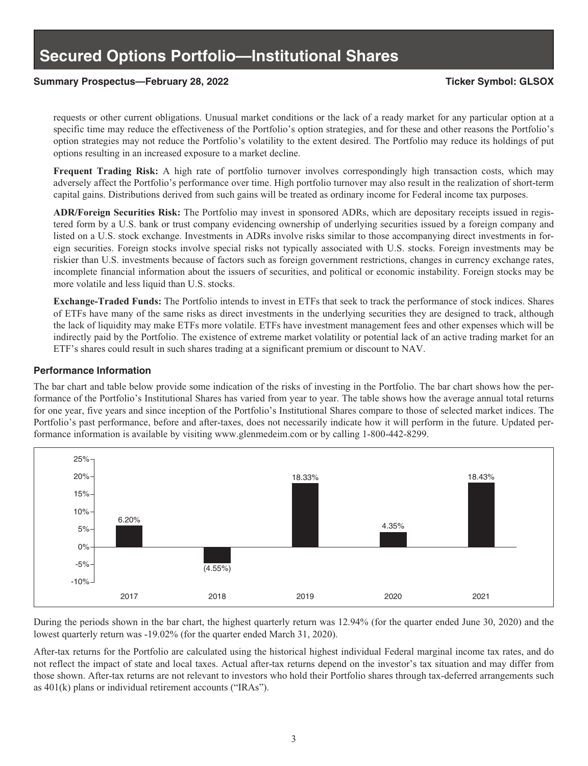## **Secured Options Portfolio—Institutional Shares**

### **Summary Prospectus—February 28, 2022 Ticker Symbol: GLSOX**

requests or other current obligations. Unusual market conditions or the lack of a ready market for any particular option at a specific time may reduce the effectiveness of the Portfolio's option strategies, and for these and other reasons the Portfolio's option strategies may not reduce the Portfolio's volatility to the extent desired. The Portfolio may reduce its holdings of put options resulting in an increased exposure to a market decline.

**Frequent Trading Risk:** A high rate of portfolio turnover involves correspondingly high transaction costs, which may adversely affect the Portfolio's performance over time. High portfolio turnover may also result in the realization of short-term capital gains. Distributions derived from such gains will be treated as ordinary income for Federal income tax purposes.

**ADR/Foreign Securities Risk:** The Portfolio may invest in sponsored ADRs, which are depositary receipts issued in registered form by a U.S. bank or trust company evidencing ownership of underlying securities issued by a foreign company and listed on a U.S. stock exchange. Investments in ADRs involve risks similar to those accompanying direct investments in foreign securities. Foreign stocks involve special risks not typically associated with U.S. stocks. Foreign investments may be riskier than U.S. investments because of factors such as foreign government restrictions, changes in currency exchange rates, incomplete financial information about the issuers of securities, and political or economic instability. Foreign stocks may be more volatile and less liquid than U.S. stocks.

**Exchange-Traded Funds:** The Portfolio intends to invest in ETFs that seek to track the performance of stock indices. Shares of ETFs have many of the same risks as direct investments in the underlying securities they are designed to track, although the lack of liquidity may make ETFs more volatile. ETFs have investment management fees and other expenses which will be indirectly paid by the Portfolio. The existence of extreme market volatility or potential lack of an active trading market for an ETF's shares could result in such shares trading at a significant premium or discount to NAV.

#### **Performance Information**

The bar chart and table below provide some indication of the risks of investing in the Portfolio. The bar chart shows how the performance of the Portfolio's Institutional Shares has varied from year to year. The table shows how the average annual total returns for one year, five years and since inception of the Portfolio's Institutional Shares compare to those of selected market indices. The Portfolio's past performance, before and after-taxes, does not necessarily indicate how it will perform in the future. Updated performance information is available by visiting www.glenmedeim.com or by calling 1-800-442-8299.



During the periods shown in the bar chart, the highest quarterly return was 12.94% (for the quarter ended June 30, 2020) and the lowest quarterly return was -19.02% (for the quarter ended March 31, 2020).

After-tax returns for the Portfolio are calculated using the historical highest individual Federal marginal income tax rates, and do not reflect the impact of state and local taxes. Actual after-tax returns depend on the investor's tax situation and may differ from those shown. After-tax returns are not relevant to investors who hold their Portfolio shares through tax-deferred arrangements such as 401(k) plans or individual retirement accounts ("IRAs").